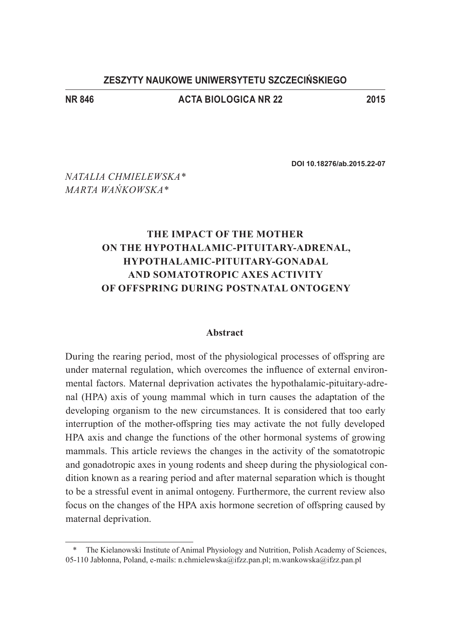### **ZESZYTY NAUKOWE UNIWERSYTETU SZCZECIŃSKIEGO**

### **NR 846 Acta Biologica nr 22 2015**

**DOI 10.18276/ab.2015.22-07**

*Natalia Chmielewska\* Marta Wańkowska\**

# **The impact of the mother on the hypothalamic-pituitary-adrenal, hypothalamic-pituitary-gonadal and somatotropic axes activity of offspring during postnatal ontogeny**

#### **Abstract**

During the rearing period, most of the physiological processes of offspring are under maternal regulation, which overcomes the influence of external environmental factors. Maternal deprivation activates the hypothalamic-pituitary-adrenal (HPA) axis of young mammal which in turn causes the adaptation of the developing organism to the new circumstances. It is considered that too early interruption of the mother-offspring ties may activate the not fully developed HPA axis and change the functions of the other hormonal systems of growing mammals. This article reviews the changes in the activity of the somatotropic and gonadotropic axes in young rodents and sheep during the physiological condition known as a rearing period and after maternal separation which is thought to be a stressful event in animal ontogeny. Furthermore, the current review also focus on the changes of the HPA axis hormone secretion of offspring caused by maternal deprivation.

<sup>\*</sup> The Kielanowski Institute of Animal Physiology and Nutrition, Polish Academy of Sciences, 05-110 Jabłonna, Poland, e-mails: n.chmielewska@ifzz.pan.pl; m.wankowska@ifzz.pan.pl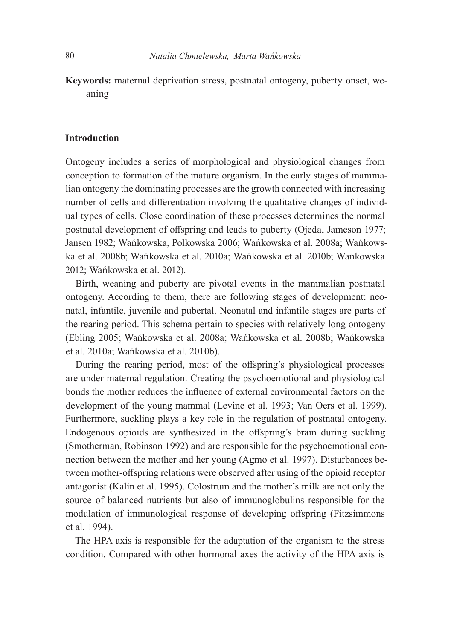**Keywords:** maternal deprivation stress, postnatal ontogeny, puberty onset, weaning

#### **Introduction**

Ontogeny includes a series of morphological and physiological changes from conception to formation of the mature organism. In the early stages of mammalian ontogeny the dominating processes are the growth connected with increasing number of cells and differentiation involving the qualitative changes of individual types of cells. Close coordination of these processes determines the normal postnatal development of offspring and leads to puberty (Ojeda, Jameson 1977; Jansen 1982; Wańkowska, Polkowska 2006; Wańkowska et al. 2008a; Wańkowska et al. 2008b; Wańkowska et al. 2010a; Wańkowska et al. 2010b; Wańkowska 2012; Wańkowska et al. 2012).

Birth, weaning and puberty are pivotal events in the mammalian postnatal ontogeny. According to them, there are following stages of development: neonatal, infantile, juvenile and pubertal. Neonatal and infantile stages are parts of the rearing period. This schema pertain to species with relatively long ontogeny (Ebling 2005; Wańkowska et al. 2008a; Wańkowska et al. 2008b; Wańkowska et al. 2010a; Wańkowska et al. 2010b).

During the rearing period, most of the offspring's physiological processes are under maternal regulation. Creating the psychoemotional and physiological bonds the mother reduces the influence of external environmental factors on the development of the young mammal (Levine et al. 1993; Van Oers et al. 1999). Furthermore, suckling plays a key role in the regulation of postnatal ontogeny. Endogenous opioids are synthesized in the offspring's brain during suckling (Smotherman, Robinson 1992) and are responsible for the psychoemotional connection between the mother and her young (Agmo et al. 1997). Disturbances between mother-offspring relations were observed after using of the opioid receptor antagonist (Kalin et al. 1995). Colostrum and the mother's milk are not only the source of balanced nutrients but also of immunoglobulins responsible for the modulation of immunological response of developing offspring (Fitzsimmons et al. 1994).

The HPA axis is responsible for the adaptation of the organism to the stress condition. Compared with other hormonal axes the activity of the HPA axis is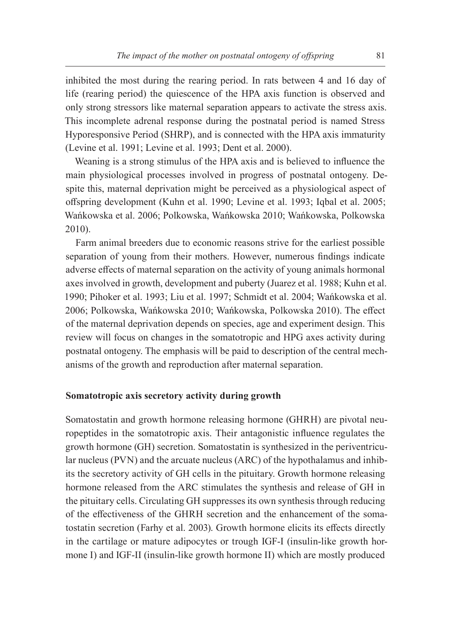inhibited the most during the rearing period. In rats between 4 and 16 day of life (rearing period) the quiescence of the HPA axis function is observed and only strong stressors like maternal separation appears to activate the stress axis. This incomplete adrenal response during the postnatal period is named Stress Hyporesponsive Period (SHRP), and is connected with the HPA axis immaturity (Levine et al. 1991; Levine et al. 1993; Dent et al. 2000).

Weaning is a strong stimulus of the HPA axis and is believed to influence the main physiological processes involved in progress of postnatal ontogeny. Despite this, maternal deprivation might be perceived as a physiological aspect of offspring development (Kuhn et al. 1990; Levine et al. 1993; Iqbal et al. 2005; Wańkowska et al. 2006; Polkowska, Wańkowska 2010; Wańkowska, Polkowska 2010).

Farm animal breeders due to economic reasons strive for the earliest possible separation of young from their mothers. However, numerous findings indicate adverse effects of maternal separation on the activity of young animals hormonal axes involved in growth, development and puberty (Juarez et al. 1988; Kuhn et al. 1990; Pihoker et al. 1993; Liu et al. 1997; Schmidt et al. 2004; Wańkowska et al. 2006; Polkowska, Wańkowska 2010; Wańkowska, Polkowska 2010). The effect of the maternal deprivation depends on species, age and experiment design. This review will focus on changes in the somatotropic and HPG axes activity during postnatal ontogeny. The emphasis will be paid to description of the central mechanisms of the growth and reproduction after maternal separation.

#### **Somatotropic axis secretory activity during growth**

Somatostatin and growth hormone releasing hormone (GHRH) are pivotal neuropeptides in the somatotropic axis. Their antagonistic influence regulates the growth hormone (GH) secretion. Somatostatin is synthesized in the periventricular nucleus (PVN) and the arcuate nucleus (ARC) of the hypothalamus and inhibits the secretory activity of GH cells in the pituitary. Growth hormone releasing hormone released from the ARC stimulates the synthesis and release of GH in the pituitary cells. Circulating GH suppresses its own synthesis through reducing of the effectiveness of the GHRH secretion and the enhancement of the somatostatin secretion (Farhy et al. 2003). Growth hormone elicits its effects directly in the cartilage or mature adipocytes or trough IGF-I (insulin-like growth hormone I) and IGF-II (insulin-like growth hormone II) which are mostly produced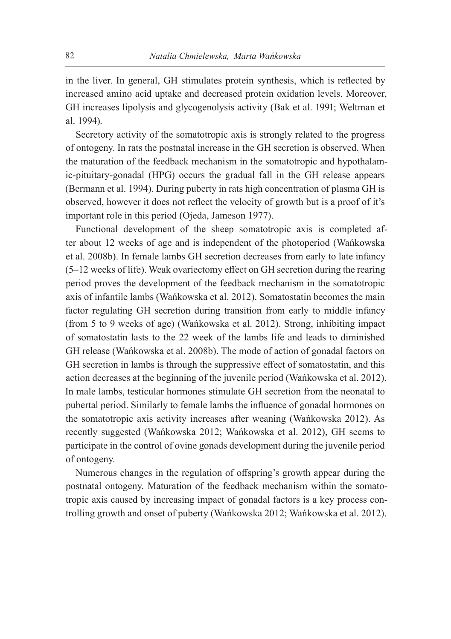in the liver. In general, GH stimulates protein synthesis, which is reflected by increased amino acid uptake and decreased protein oxidation levels. Moreover, GH increases lipolysis and glycogenolysis activity (Bak et al. 1991; Weltman et al. 1994).

Secretory activity of the somatotropic axis is strongly related to the progress of ontogeny. In rats the postnatal increase in the GH secretion is observed. When the maturation of the feedback mechanism in the somatotropic and hypothalamic-pituitary-gonadal (HPG) occurs the gradual fall in the GH release appears (Bermann et al. 1994). During puberty in rats high concentration of plasma GH is observed, however it does not reflect the velocity of growth but is a proof of it's important role in this period (Ojeda, Jameson 1977).

Functional development of the sheep somatotropic axis is completed after about 12 weeks of age and is independent of the photoperiod (Wańkowska et al. 2008b). In female lambs GH secretion decreases from early to late infancy (5–12 weeks of life). Weak ovariectomy effect on GH secretion during the rearing period proves the development of the feedback mechanism in the somatotropic axis of infantile lambs (Wańkowska et al. 2012). Somatostatin becomes the main factor regulating GH secretion during transition from early to middle infancy (from 5 to 9 weeks of age) (Wańkowska et al. 2012). Strong, inhibiting impact of somatostatin lasts to the 22 week of the lambs life and leads to diminished GH release (Wańkowska et al. 2008b). The mode of action of gonadal factors on GH secretion in lambs is through the suppressive effect of somatostatin, and this action decreases at the beginning of the juvenile period (Wańkowska et al. 2012). In male lambs, testicular hormones stimulate GH secretion from the neonatal to pubertal period. Similarly to female lambs the influence of gonadal hormones on the somatotropic axis activity increases after weaning (Wańkowska 2012). As recently suggested (Wańkowska 2012; Wańkowska et al. 2012), GH seems to participate in the control of ovine gonads development during the juvenile period of ontogeny.

Numerous changes in the regulation of offspring's growth appear during the postnatal ontogeny. Maturation of the feedback mechanism within the somatotropic axis caused by increasing impact of gonadal factors is a key process controlling growth and onset of puberty (Wańkowska 2012; Wańkowska et al. 2012).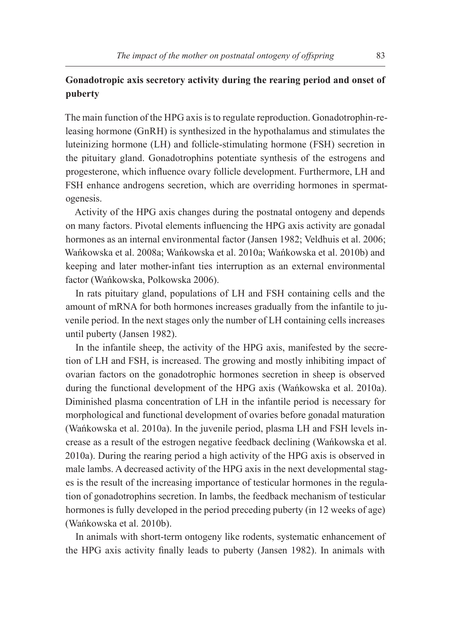## **Gonadotropic axis secretory activity during the rearing period and onset of puberty**

The main function of the HPG axis is to regulate reproduction. Gonadotrophin-releasing hormone (GnRH) is synthesized in the hypothalamus and stimulates the luteinizing hormone (LH) and follicle-stimulating hormone (FSH) secretion in the pituitary gland. Gonadotrophins potentiate synthesis of the estrogens and progesterone, which influence ovary follicle development. Furthermore, LH and FSH enhance androgens secretion, which are overriding hormones in spermatogenesis.

Activity of the HPG axis changes during the postnatal ontogeny and depends on many factors. Pivotal elements influencing the HPG axis activity are gonadal hormones as an internal environmental factor (Jansen 1982; Veldhuis et al. 2006; Wańkowska et al. 2008a; Wańkowska et al. 2010a; Wańkowska et al. 2010b) and keeping and later mother-infant ties interruption as an external environmental factor (Wańkowska, Polkowska 2006).

In rats pituitary gland, populations of LH and FSH containing cells and the amount of mRNA for both hormones increases gradually from the infantile to juvenile period. In the next stages only the number of LH containing cells increases until puberty (Jansen 1982).

In the infantile sheep, the activity of the HPG axis, manifested by the secretion of LH and FSH, is increased. The growing and mostly inhibiting impact of ovarian factors on the gonadotrophic hormones secretion in sheep is observed during the functional development of the HPG axis (Wańkowska et al. 2010a). Diminished plasma concentration of LH in the infantile period is necessary for morphological and functional development of ovaries before gonadal maturation (Wańkowska et al. 2010a). In the juvenile period, plasma LH and FSH levels increase as a result of the estrogen negative feedback declining (Wańkowska et al. 2010a). During the rearing period a high activity of the HPG axis is observed in male lambs. A decreased activity of the HPG axis in the next developmental stages is the result of the increasing importance of testicular hormones in the regulation of gonadotrophins secretion. In lambs, the feedback mechanism of testicular hormones is fully developed in the period preceding puberty (in 12 weeks of age) (Wańkowska et al. 2010b).

In animals with short-term ontogeny like rodents, systematic enhancement of the HPG axis activity finally leads to puberty (Jansen 1982). In animals with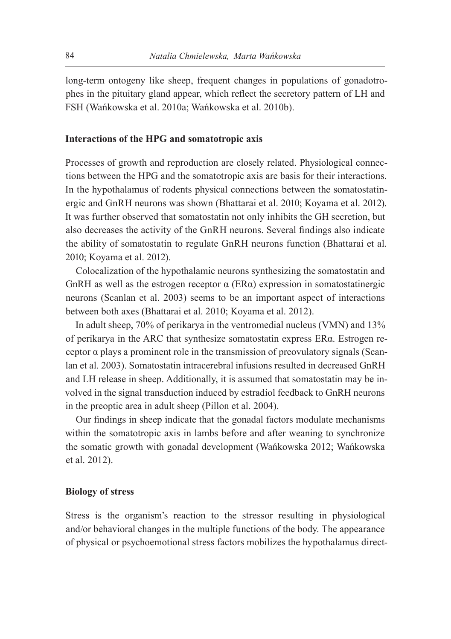long-term ontogeny like sheep, frequent changes in populations of gonadotrophes in the pituitary gland appear, which reflect the secretory pattern of LH and FSH (Wańkowska et al. 2010a; Wańkowska et al. 2010b).

#### **Interactions of the HPG and somatotropic axis**

Processes of growth and reproduction are closely related. Physiological connections between the HPG and the somatotropic axis are basis for their interactions. In the hypothalamus of rodents physical connections between the somatostatinergic and GnRH neurons was shown (Bhattarai et al. 2010; Koyama et al. 2012). It was further observed that somatostatin not only inhibits the GH secretion, but also decreases the activity of the GnRH neurons. Several findings also indicate the ability of somatostatin to regulate GnRH neurons function (Bhattarai et al. 2010; Koyama et al. 2012).

Colocalization of the hypothalamic neurons synthesizing the somatostatin and GnRH as well as the estrogen receptor  $\alpha$  (ER $\alpha$ ) expression in somatostatinergic neurons (Scanlan et al. 2003) seems to be an important aspect of interactions between both axes (Bhattarai et al. 2010; Koyama et al. 2012).

In adult sheep, 70% of perikarya in the ventromedial nucleus (VMN) and 13% of perikarya in the ARC that synthesize somatostatin express ERα. Estrogen receptor α plays a prominent role in the transmission of preovulatory signals (Scanlan et al. 2003). Somatostatin intracerebral infusions resulted in decreased GnRH and LH release in sheep. Additionally, it is assumed that somatostatin may be involved in the signal transduction induced by estradiol feedback to GnRH neurons in the preoptic area in adult sheep (Pillon et al. 2004).

Our findings in sheep indicate that the gonadal factors modulate mechanisms within the somatotropic axis in lambs before and after weaning to synchronize the somatic growth with gonadal development (Wańkowska 2012; Wańkowska et al. 2012).

#### **Biology of stress**

Stress is the organism's reaction to the stressor resulting in physiological and/or behavioral changes in the multiple functions of the body. The appearance of physical or psychoemotional stress factors mobilizes the hypothalamus direct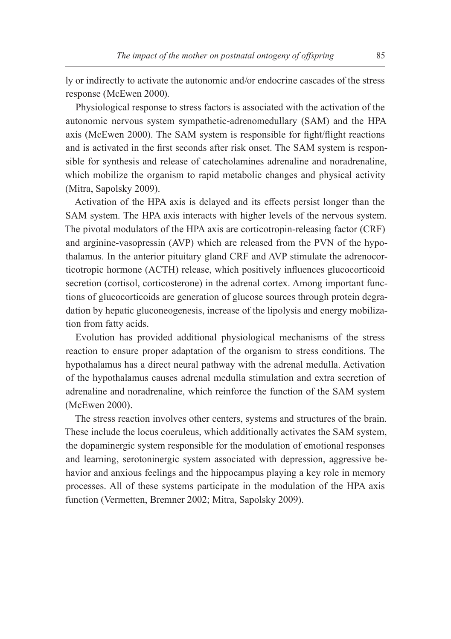ly or indirectly to activate the autonomic and/or endocrine cascades of the stress response (McEwen 2000).

Physiological response to stress factors is associated with the activation of the autonomic nervous system sympathetic-adrenomedullary (SAM) and the HPA axis (McEwen 2000). The SAM system is responsible for fight/flight reactions and is activated in the first seconds after risk onset. The SAM system is responsible for synthesis and release of catecholamines adrenaline and noradrenaline, which mobilize the organism to rapid metabolic changes and physical activity (Mitra, Sapolsky 2009).

Activation of the HPA axis is delayed and its effects persist longer than the SAM system. The HPA axis interacts with higher levels of the nervous system. The pivotal modulators of the HPA axis are corticotropin-releasing factor (CRF) and arginine-vasopressin (AVP) which are released from the PVN of the hypothalamus. In the anterior pituitary gland CRF and AVP stimulate the adrenocorticotropic hormone (ACTH) release, which positively influences glucocorticoid secretion (cortisol, corticosterone) in the adrenal cortex. Among important functions of glucocorticoids are generation of glucose sources through protein degradation by hepatic gluconeogenesis, increase of the lipolysis and energy mobilization from fatty acids.

Evolution has provided additional physiological mechanisms of the stress reaction to ensure proper adaptation of the organism to stress conditions. The hypothalamus has a direct neural pathway with the adrenal medulla. Activation of the hypothalamus causes adrenal medulla stimulation and extra secretion of adrenaline and noradrenaline, which reinforce the function of the SAM system (McEwen 2000).

The stress reaction involves other centers, systems and structures of the brain. These include the locus coeruleus, which additionally activates the SAM system, the dopaminergic system responsible for the modulation of emotional responses and learning, serotoninergic system associated with depression, aggressive behavior and anxious feelings and the hippocampus playing a key role in memory processes. All of these systems participate in the modulation of the HPA axis function (Vermetten, Bremner 2002; Mitra, Sapolsky 2009).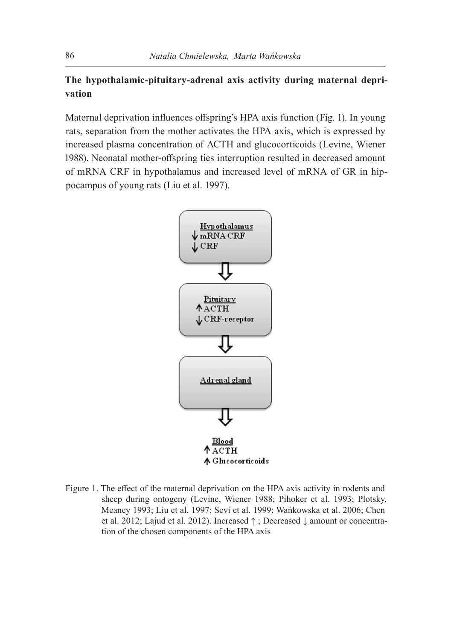## **The hypothalamic-pituitary-adrenal axis activity during maternal deprivation**

Maternal deprivation influences offspring's HPA axis function (Fig. 1). In young rats, separation from the mother activates the HPA axis, which is expressed by increased plasma concentration of ACTH and glucocorticoids (Levine, Wiener 1988). Neonatal mother-offspring ties interruption resulted in decreased amount of mRNA CRF in hypothalamus and increased level of mRNA of GR in hippocampus of young rats (Liu et al. 1997).



Figure 1. The effect of the maternal deprivation on the HPA axis activity in rodents and sheep during ontogeny (Levine, Wiener 1988; Pihoker et al. 1993; Plotsky, Meaney 1993; Liu et al. 1997; Sevi et al. 1999; Wańkowska et al. 2006; Chen et al. 2012; Lajud et al. 2012). Increased ↑ ; Decreased ↓ amount or concentration of the chosen components of the HPA axis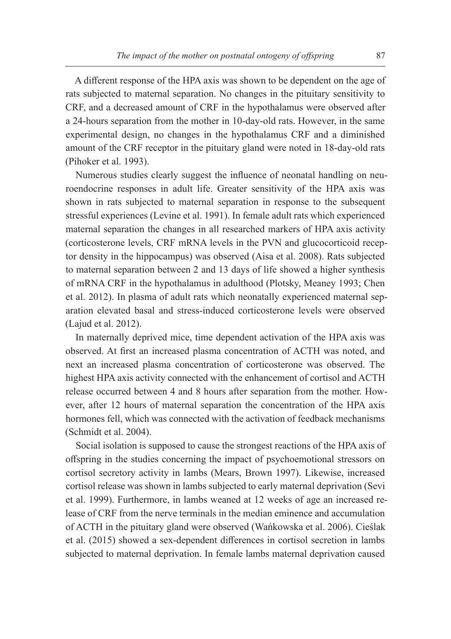A different response of the HPA axis was shown to be dependent on the age of rats subjected to maternal separation. No changes in the pituitary sensitivity to CRF, and a decreased amount of CRF in the hypothalamus were observed after a 24-hours separation from the mother in 10-day-old rats. However, in the same experimental design, no changes in the hypothalamus CRF and a diminished amount of the CRF receptor in the pituitary gland were noted in 18-day-old rats (Pihoker et al. 1993).

Numerous studies clearly suggest the influence of neonatal handling on neuroendocrine responses in adult life. Greater sensitivity of the HPA axis was shown in rats subjected to maternal separation in response to the subsequent stressful experiences (Levine et al. 1991). In female adult rats which experienced maternal separation the changes in all researched markers of HPA axis activity (corticosterone levels, CRF mRNA levels in the PVN and glucocorticoid receptor density in the hippocampus) was observed (Aisa et al. 2008). Rats subjected to maternal separation between 2 and 13 days of life showed a higher synthesis of mRNA CRF in the hypothalamus in adulthood (Plotsky, Meaney 1993; Chen et al. 2012). In plasma of adult rats which neonatally experienced maternal separation elevated basal and stress-induced corticosterone levels were observed (Lajud et al. 2012).

In maternally deprived mice, time dependent activation of the HPA axis was observed. At first an increased plasma concentration of ACTH was noted, and next an increased plasma concentration of corticosterone was observed. The highest HPA axis activity connected with the enhancement of cortisol and ACTH release occurred between 4 and 8 hours after separation from the mother. However, after 12 hours of maternal separation the concentration of the HPA axis hormones fell, which was connected with the activation of feedback mechanisms (Schmidt et al. 2004).

Social isolation is supposed to cause the strongest reactions of the HPA axis of offspring in the studies concerning the impact of psychoemotional stressors on cortisol secretory activity in lambs (Mears, Brown 1997). Likewise, increased cortisol release was shown in lambs subjected to early maternal deprivation (Sevi et al. 1999). Furthermore, in lambs weaned at 12 weeks of age an increased release of CRF from the nerve terminals in the median eminence and accumulation of ACTH in the pituitary gland were observed (Wańkowska et al. 2006). Cieślak et al. (2015) showed a sex-dependent differences in cortisol secretion in lambs subjected to maternal deprivation. In female lambs maternal deprivation caused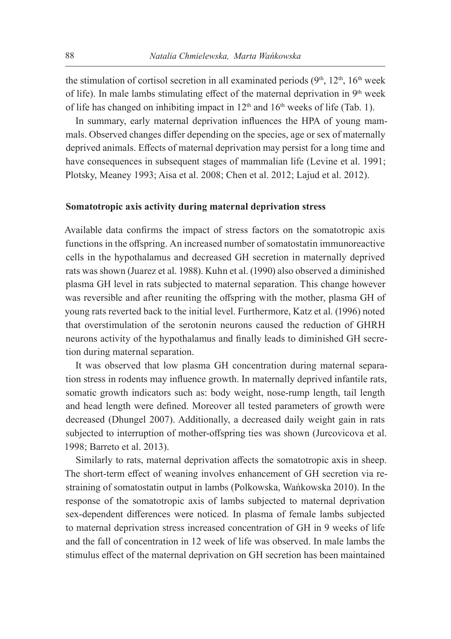the stimulation of cortisol secretion in all examinated periods  $(9<sup>th</sup>, 12<sup>th</sup>, 16<sup>th</sup>$  week of life). In male lambs stimulating effect of the maternal deprivation in  $9<sup>th</sup>$  week of life has changed on inhibiting impact in 12<sup>th</sup> and 16<sup>th</sup> weeks of life (Tab. 1).

In summary, early maternal deprivation influences the HPA of young mammals. Observed changes differ depending on the species, age or sex of maternally deprived animals. Effects of maternal deprivation may persist for a long time and have consequences in subsequent stages of mammalian life (Levine et al. 1991; Plotsky, Meaney 1993; Aisa et al. 2008; Chen et al. 2012; Lajud et al. 2012).

#### **Somatotropic axis activity during maternal deprivation stress**

Available data confirms the impact of stress factors on the somatotropic axis functions in the offspring. An increased number of somatostatin immunoreactive cells in the hypothalamus and decreased GH secretion in maternally deprived rats was shown (Juarez et al. 1988). Kuhn et al. (1990) also observed a diminished plasma GH level in rats subjected to maternal separation. This change however was reversible and after reuniting the offspring with the mother, plasma GH of young rats reverted back to the initial level. Furthermore, Katz et al. (1996) noted that overstimulation of the serotonin neurons caused the reduction of GHRH neurons activity of the hypothalamus and finally leads to diminished GH secretion during maternal separation.

It was observed that low plasma GH concentration during maternal separation stress in rodents may influence growth. In maternally deprived infantile rats, somatic growth indicators such as: body weight, nose-rump length, tail length and head length were defined. Moreover all tested parameters of growth were decreased (Dhungel 2007). Additionally, a decreased daily weight gain in rats subjected to interruption of mother-offspring ties was shown (Jurcovicova et al. 1998; Barreto et al. 2013).

Similarly to rats, maternal deprivation affects the somatotropic axis in sheep. The short-term effect of weaning involves enhancement of GH secretion via restraining of somatostatin output in lambs (Polkowska, Wańkowska 2010). In the response of the somatotropic axis of lambs subjected to maternal deprivation sex-dependent differences were noticed. In plasma of female lambs subjected to maternal deprivation stress increased concentration of GH in 9 weeks of life and the fall of concentration in 12 week of life was observed. In male lambs the stimulus effect of the maternal deprivation on GH secretion has been maintained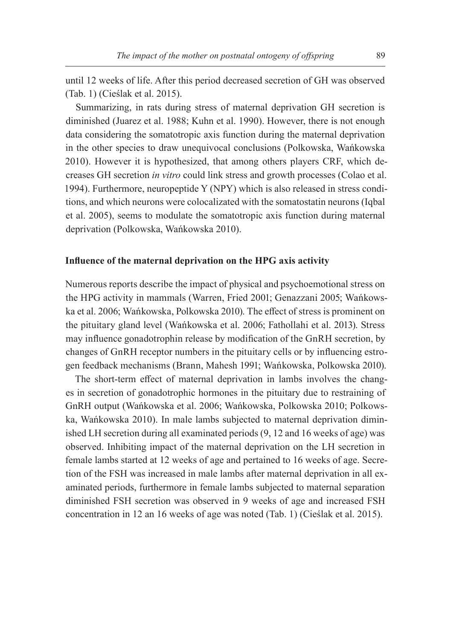until 12 weeks of life. After this period decreased secretion of GH was observed (Tab. 1) (Cieślak et al. 2015).

Summarizing, in rats during stress of maternal deprivation GH secretion is diminished (Juarez et al. 1988; Kuhn et al. 1990). However, there is not enough data considering the somatotropic axis function during the maternal deprivation in the other species to draw unequivocal conclusions (Polkowska, Wańkowska 2010). However it is hypothesized, that among others players CRF, which decreases GH secretion *in vitro* could link stress and growth processes (Colao et al. 1994). Furthermore, neuropeptide Y (NPY) which is also released in stress conditions, and which neurons were colocalizated with the somatostatin neurons (Iqbal et al. 2005), seems to modulate the somatotropic axis function during maternal deprivation (Polkowska, Wańkowska 2010).

#### **Influence of the maternal deprivation on the HPG axis activity**

Numerous reports describe the impact of physical and psychoemotional stress on the HPG activity in mammals (Warren, Fried 2001; Genazzani 2005; Wańkowska et al. 2006; Wańkowska, Polkowska 2010). The effect of stress is prominent on the pituitary gland level (Wańkowska et al. 2006; Fathollahi et al. 2013). Stress may influence gonadotrophin release by modification of the GnRH secretion, by changes of GnRH receptor numbers in the pituitary cells or by influencing estrogen feedback mechanisms (Brann, Mahesh 1991; Wańkowska, Polkowska 2010).

The short-term effect of maternal deprivation in lambs involves the changes in secretion of gonadotrophic hormones in the pituitary due to restraining of GnRH output (Wańkowska et al. 2006; Wańkowska, Polkowska 2010; Polkowska, Wańkowska 2010). In male lambs subjected to maternal deprivation diminished LH secretion during all examinated periods (9, 12 and 16 weeks of age) was observed. Inhibiting impact of the maternal deprivation on the LH secretion in female lambs started at 12 weeks of age and pertained to 16 weeks of age. Secretion of the FSH was increased in male lambs after maternal deprivation in all examinated periods, furthermore in female lambs subjected to maternal separation diminished FSH secretion was observed in 9 weeks of age and increased FSH concentration in 12 an 16 weeks of age was noted (Tab. 1) (Cieślak et al. 2015).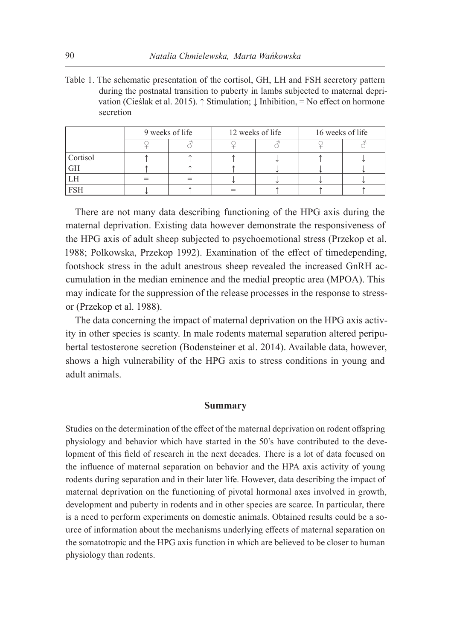Table 1. The schematic presentation of the cortisol, GH, LH and FSH secretory pattern during the postnatal transition to puberty in lambs subjected to maternal deprivation (Cieślak et al. 2015). ↑ Stimulation; ↓ Inhibition, = No effect on hormone secretion

|            | 9 weeks of life |  | 12 weeks of life |  | 16 weeks of life |  |
|------------|-----------------|--|------------------|--|------------------|--|
|            |                 |  |                  |  |                  |  |
| Cortisol   |                 |  |                  |  |                  |  |
| GH         |                 |  |                  |  |                  |  |
|            |                 |  |                  |  |                  |  |
| <b>FSH</b> |                 |  |                  |  |                  |  |

There are not many data describing functioning of the HPG axis during the maternal deprivation. Existing data however demonstrate the responsiveness of the HPG axis of adult sheep subjected to psychoemotional stress (Przekop et al. 1988; Polkowska, Przekop 1992). Examination of the effect of timedepending, footshock stress in the adult anestrous sheep revealed the increased GnRH accumulation in the median eminence and the medial preoptic area (MPOA). This may indicate for the suppression of the release processes in the response to stressor (Przekop et al. 1988).

The data concerning the impact of maternal deprivation on the HPG axis activity in other species is scanty. In male rodents maternal separation altered peripubertal testosterone secretion (Bodensteiner et al. 2014). Available data, however, shows a high vulnerability of the HPG axis to stress conditions in young and adult animals.

#### **Summary**

Studies on the determination of the effect of the maternal deprivation on rodent offspring physiology and behavior which have started in the 50's have contributed to the development of this field of research in the next decades. There is a lot of data focused on the influence of maternal separation on behavior and the HPA axis activity of young rodents during separation and in their later life. However, data describing the impact of maternal deprivation on the functioning of pivotal hormonal axes involved in growth, development and puberty in rodents and in other species are scarce. In particular, there is a need to perform experiments on domestic animals. Obtained results could be a source of information about the mechanisms underlying effects of maternal separation on the somatotropic and the HPG axis function in which are believed to be closer to human physiology than rodents.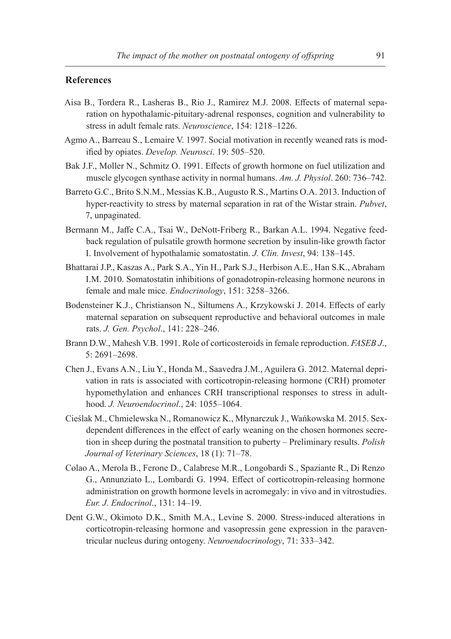#### **References**

- Aisa B., Tordera R., Lasheras B., Rio J., Ramirez M.J. 2008. Effects of maternal separation on hypothalamic-pituitary-adrenal responses, cognition and vulnerability to stress in adult female rats. *Neuroscience*, 154: 1218–1226.
- Agmo A., Barreau S., Lemaire V. 1997. Social motivation in recently weaned rats is modified by opiates. *Develop. Neurosci*. 19: 505–520.
- Bak J.F., Moller N., Schmitz O. 1991. Effects of growth hormone on fuel utilization and muscle glycogen synthase activity in normal humans. *Am. J. Physiol*. 260: 736–742.
- Barreto G.C., Brito S.N.M., Messias K.B., Augusto R.S., Martins O.A. 2013. Induction of hyper-reactivity to stress by maternal separation in rat of the Wistar strain. *Pubvet*, 7, unpaginated.
- Bermann M., Jaffe C.A., Tsai W., DeNott-Friberg R., Barkan A.L. 1994. Negative feedback regulation of pulsatile growth hormone secretion by insulin-like growth factor I. Involvement of hypothalamic somatostatin. *J. Clin. Invest*, 94: 138–145.
- Bhattarai J.P., Kaszas A., Park S.A., Yin H., Park S.J., Herbison A.E., Han S.K., Abraham I.M. 2010. Somatostatin inhibitions of gonadotropin-releasing hormone neurons in female and male mice. *Endocrinology*, 151: 3258–3266.
- Bodensteiner K.J., Christianson N., Siltumens A., Krzykowski J. 2014. Effects of early maternal separation on subsequent reproductive and behavioral outcomes in male rats. *J. Gen. Psychol*., 141: 228–246.
- Brann D.W., Mahesh V.B. 1991. Role of corticosteroids in female reproduction. *FASEB J*., 5: 2691–2698.
- Chen J., Evans A.N., Liu Y., Honda M., Saavedra J.M., Aguilera G. 2012. Maternal deprivation in rats is associated with corticotropin-releasing hormone (CRH) promoter hypomethylation and enhances CRH transcriptional responses to stress in adulthood. *J. Neuroendocrinol*., 24: 1055–1064.
- Cieślak M., Chmielewska N., Romanowicz K., Młynarczuk J., Wańkowska M. 2015. Sexdependent differences in the effect of early weaning on the chosen hormones secretion in sheep during the postnatal transition to puberty – Preliminary results. *Polish Journal of Veterinary Sciences*, 18 (1): 71–78.
- Colao A., Merola B., Ferone D., Calabrese M.R., Longobardi S., Spaziante R., Di Renzo G., Annunziato L., Lombardi G. 1994. Effect of corticotropin-releasing hormone administration on growth hormone levels in acromegaly: in vivo and in vitrostudies. *Eur. J. Endocrinol*., 131: 14–19.
- Dent G.W., Okimoto D.K., Smith M.A., Levine S. 2000. Stress-induced alterations in corticotropin-releasing hormone and vasopressin gene expression in the paraventricular nucleus during ontogeny. *Neuroendocrinology*, 71: 333–342.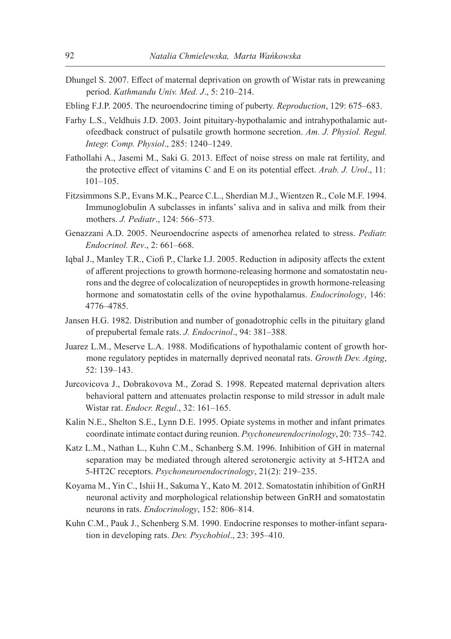- Dhungel S. 2007. Effect of maternal deprivation on growth of Wistar rats in preweaning period. *Kathmandu Univ. Med. J*., 5: 210–214.
- Ebling F.J.P. 2005. The neuroendocrine timing of puberty. *Reproduction*, 129: 675–683.
- Farhy L.S., Veldhuis J.D. 2003. Joint pituitary-hypothalamic and intrahypothalamic autofeedback construct of pulsatile growth hormone secretion. *Am. J. Physiol. Regul. Integr. Comp. Physiol*., 285: 1240–1249.
- Fathollahi A., Jasemi M., Saki G. 2013. Effect of noise stress on male rat fertility, and the protective effect of vitamins C and E on its potential effect. *Arab. J. Urol*., 11: 101–105.
- Fitzsimmons S.P., Evans M.K., Pearce C.L., Sherdian M.J., Wientzen R., Cole M.F. 1994. Immunoglobulin A subclasses in infants' saliva and in saliva and milk from their mothers. *J. Pediatr*., 124: 566–573.
- Genazzani A.D. 2005. Neuroendocrine aspects of amenorhea related to stress. *Pediatr. Endocrinol. Rev*., 2: 661–668.
- Iqbal J., Manley T.R., Ciofi P., Clarke I.J. 2005. Reduction in adiposity affects the extent of afferent projections to growth hormone-releasing hormone and somatostatin neurons and the degree of colocalization of neuropeptides in growth hormone-releasing hormone and somatostatin cells of the ovine hypothalamus. *Endocrinology*, 146: 4776–4785.
- Jansen H.G. 1982. Distribution and number of gonadotrophic cells in the pituitary gland of prepubertal female rats. *J. Endocrinol*., 94: 381–388.
- Juarez L.M., Meserve L.A. 1988. Modifications of hypothalamic content of growth hormone regulatory peptides in maternally deprived neonatal rats. *Growth Dev. Aging*, 52: 139–143.
- Jurcovicova J., Dobrakovova M., Zorad S. 1998. Repeated maternal deprivation alters behavioral pattern and attenuates prolactin response to mild stressor in adult male Wistar rat. *Endocr. Regul*., 32: 161–165.
- Kalin N.E., Shelton S.E., Lynn D.E. 1995. Opiate systems in mother and infant primates coordinate intimate contact during reunion. *Psychoneurendocrinology*, 20: 735–742.
- Katz L.M., Nathan L., Kuhn C.M., Schanberg S.M. 1996. Inhibition of GH in maternal separation may be mediated through altered serotonergic activity at 5-HT2A and 5-HT2C receptors. *Psychoneuroendocrinology*, 21(2): 219–235.
- Koyama M., Yin C., Ishii H., Sakuma Y., Kato M. 2012. Somatostatin inhibition of GnRH neuronal activity and morphological relationship between GnRH and somatostatin neurons in rats. *Endocrinology*, 152: 806–814.
- Kuhn C.M., Pauk J., Schenberg S.M. 1990. Endocrine responses to mother-infant separation in developing rats. *Dev. Psychobiol*., 23: 395–410.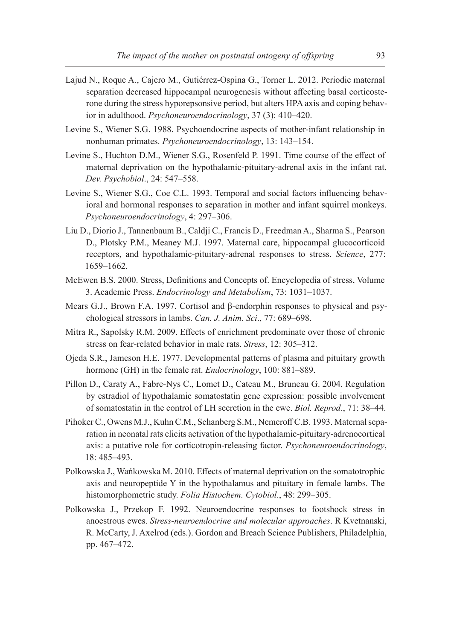- Lajud N., Roque A., Cajero M., Gutiérrez-Ospina G., Torner L. 2012. Periodic maternal separation decreased hippocampal neurogenesis without affecting basal corticosterone during the stress hyporepsonsive period, but alters HPA axis and coping behavior in adulthood. *Psychoneuroendocrinology*, 37 (3): 410–420.
- Levine S., Wiener S.G. 1988. Psychoendocrine aspects of mother-infant relationship in nonhuman primates. *Psychoneuroendocrinology*, 13: 143–154.
- Levine S., Huchton D.M., Wiener S.G., Rosenfeld P. 1991. Time course of the effect of maternal deprivation on the hypothalamic-pituitary-adrenal axis in the infant rat. *Dev. Psychobiol*., 24: 547–558.
- Levine S., Wiener S.G., Coe C.L. 1993. Temporal and social factors influencing behavioral and hormonal responses to separation in mother and infant squirrel monkeys. *Psychoneuroendocrinology*, 4: 297–306.
- Liu D., Diorio J., Tannenbaum B., Caldji C., Francis D., Freedman A., Sharma S., Pearson D., Plotsky P.M., Meaney M.J. 1997. Maternal care, hippocampal glucocorticoid receptors, and hypothalamic-pituitary-adrenal responses to stress. *Science*, 277: 1659–1662.
- McEwen B.S. 2000. Stress, Definitions and Concepts of. Encyclopedia of stress, Volume 3. Academic Press. *Endocrinology and Metabolism*, 73: 1031–1037.
- Mears G.J., Brown F.A. 1997. Cortisol and β-endorphin responses to physical and psychological stressors in lambs. *Can. J. Anim. Sci*., 77: 689–698.
- Mitra R., Sapolsky R.M. 2009. Effects of enrichment predominate over those of chronic stress on fear-related behavior in male rats. *Stress*, 12: 305–312.
- Ojeda S.R., Jameson H.E. 1977. Developmental patterns of plasma and pituitary growth hormone (GH) in the female rat. *Endocrinology*, 100: 881–889.
- Pillon D., Caraty A., Fabre-Nys C., Lomet D., Cateau M., Bruneau G. 2004. Regulation by estradiol of hypothalamic somatostatin gene expression: possible involvement of somatostatin in the control of LH secretion in the ewe. *Biol. Reprod*., 71: 38–44.
- Pihoker C., Owens M.J., Kuhn C.M., Schanberg S.M., Nemeroff C.B. 1993. Maternal separation in neonatal rats elicits activation of the hypothalamic-pituitary-adrenocortical axis: a putative role for corticotropin-releasing factor. *Psychoneuroendocrinology*, 18: 485–493.
- Polkowska J., Wańkowska M. 2010. Effects of maternal deprivation on the somatotrophic axis and neuropeptide Y in the hypothalamus and pituitary in female lambs. The histomorphometric study. *Folia Histochem. Cytobiol*., 48: 299–305.
- Polkowska J., Przekop F. 1992. Neuroendocrine responses to footshock stress in anoestrous ewes. *Stress-neuroendocrine and molecular approaches*. R Kvetnanski, R. McCarty, J. Axelrod (eds.). Gordon and Breach Science Publishers, Philadelphia, pp. 467–472.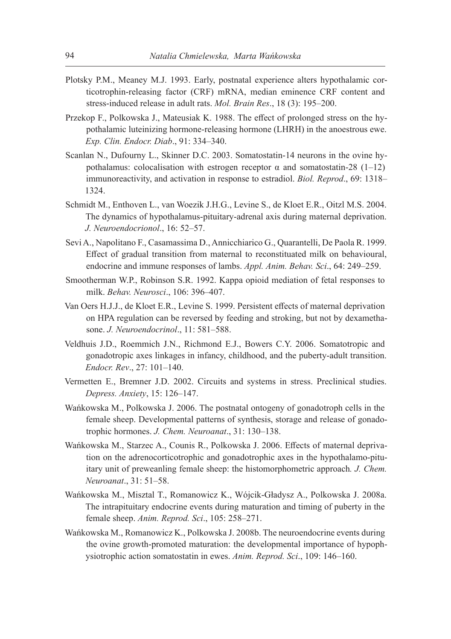- Plotsky P.M., Meaney M.J. 1993. Early, postnatal experience alters hypothalamic corticotrophin-releasing factor (CRF) mRNA, median eminence CRF content and stress-induced release in adult rats. *Mol. Brain Res*., 18 (3): 195–200.
- Przekop F., Polkowska J., Mateusiak K. 1988. The effect of prolonged stress on the hypothalamic luteinizing hormone-releasing hormone (LHRH) in the anoestrous ewe. *Exp. Clin. Endocr. Diab*., 91: 334–340.
- Scanlan N., Dufourny L., Skinner D.C. 2003. Somatostatin-14 neurons in the ovine hypothalamus: colocalisation with estrogen receptor  $\alpha$  and somatostatin-28 (1–12) immunoreactivity, and activation in response to estradiol. *Biol. Reprod*., 69: 1318– 1324.
- Schmidt M., Enthoven L., van Woezik J.H.G., Levine S., de Kloet E.R., Oitzl M.S. 2004. The dynamics of hypothalamus-pituitary-adrenal axis during maternal deprivation. *J. Neuroendocrionol*., 16: 52–57.
- Sevi A., Napolitano F., Casamassima D., Annicchiarico G., Quarantelli, De Paola R. 1999. Effect of gradual transition from maternal to reconstituated milk on behavioural, endocrine and immune responses of lambs. *Appl. Anim. Behav. Sci*., 64: 249–259.
- Smootherman W.P., Robinson S.R. 1992. Kappa opioid mediation of fetal responses to milk. *Behav. Neurosci*., 106: 396–407.
- Van Oers H.J.J., de Kloet E.R., Levine S. 1999. Persistent effects of maternal deprivation on HPA regulation can be reversed by feeding and stroking, but not by dexamethasone. *J. Neuroendocrinol*., 11: 581–588.
- Veldhuis J.D., Roemmich J.N., Richmond E.J., Bowers C.Y. 2006. Somatotropic and gonadotropic axes linkages in infancy, childhood, and the puberty-adult transition. *Endocr. Rev*., 27: 101–140.
- Vermetten E., Bremner J.D. 2002. Circuits and systems in stress. Preclinical studies. *Depress. Anxiety*, 15: 126–147.
- Wańkowska M., Polkowska J. 2006. The postnatal ontogeny of gonadotroph cells in the female sheep. Developmental patterns of synthesis, storage and release of gonadotrophic hormones. *J. Chem. Neuroanat*., 31: 130–138.
- Wańkowska M., Starzec A., Counis R., Polkowska J. 2006. Effects of maternal deprivation on the adrenocorticotrophic and gonadotrophic axes in the hypothalamo-pituitary unit of preweanling female sheep: the histomorphometric approach*. J. Chem. Neuroanat*., 31: 51–58.
- Wańkowska M., Misztal T., Romanowicz K., Wójcik-Gładysz A., Polkowska J. 2008a. The intrapituitary endocrine events during maturation and timing of puberty in the female sheep. *Anim. Reprod. Sci*., 105: 258–271.
- Wańkowska M., Romanowicz K., Polkowska J. 2008b. The neuroendocrine events during the ovine growth-promoted maturation: the developmental importance of hypophysiotrophic action somatostatin in ewes. *Anim. Reprod. Sci*., 109: 146–160.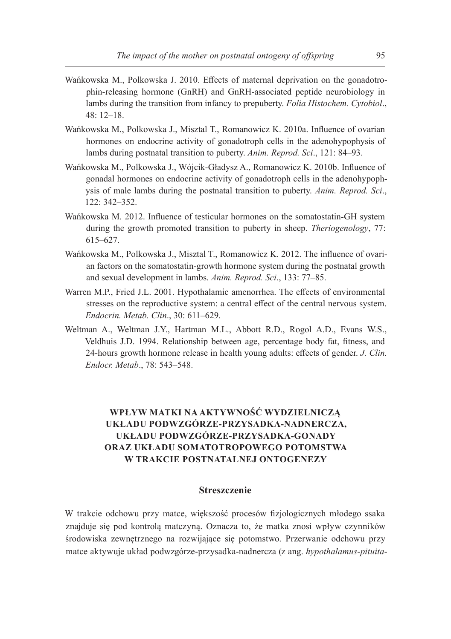- Wańkowska M., Polkowska J. 2010. Effects of maternal deprivation on the gonadotrophin-releasing hormone (GnRH) and GnRH-associated peptide neurobiology in lambs during the transition from infancy to prepuberty. *Folia Histochem. Cytobiol*., 48: 12–18.
- Wańkowska M., Polkowska J., Misztal T., Romanowicz K. 2010a. Influence of ovarian hormones on endocrine activity of gonadotroph cells in the adenohypophysis of lambs during postnatal transition to puberty. *Anim. Reprod. Sci*., 121: 84–93.
- Wańkowska M., Polkowska J., Wójcik-Gładysz A., Romanowicz K. 2010b. Influence of gonadal hormones on endocrine activity of gonadotroph cells in the adenohypophysis of male lambs during the postnatal transition to puberty. *Anim. Reprod. Sci*., 122: 342–352.
- Wańkowska M. 2012. Influence of testicular hormones on the somatostatin-GH system during the growth promoted transition to puberty in sheep. *Theriogenology*, 77: 615–627.
- Wańkowska M., Polkowska J., Misztal T., Romanowicz K. 2012. The influence of ovarian factors on the somatostatin-growth hormone system during the postnatal growth and sexual development in lambs. *Anim. Reprod. Sci*., 133: 77–85.
- Warren M.P., Fried J.L. 2001. Hypothalamic amenorrhea. The effects of environmental stresses on the reproductive system: a central effect of the central nervous system. *Endocrin. Metab. Clin*., 30: 611–629.
- Weltman A., Weltman J.Y., Hartman M.L., Abbott R.D., Rogol A.D., Evans W.S., Veldhuis J.D. 1994. Relationship between age, percentage body fat, fitness, and 24-hours growth hormone release in health young adults: effects of gender. *J. Clin. Endocr. Metab*., 78: 543–548.

### **Wpływ matki na aktywność wydzielniczą układu podwzgórze-przysadka-nadnercza, układu podwzgórze-przysadka-gonady oraz układu somatotropowego potomstwa w trakcie postnatalnej ontogenezy**

#### **Streszczenie**

W trakcie odchowu przy matce, większość procesów fizjologicznych młodego ssaka znajduje się pod kontrolą matczyną. Oznacza to, że matka znosi wpływ czynników środowiska zewnętrznego na rozwijające się potomstwo. Przerwanie odchowu przy matce aktywuje układ podwzgórze-przysadka-nadnercza (z ang. *hypothalamus-pituita-*